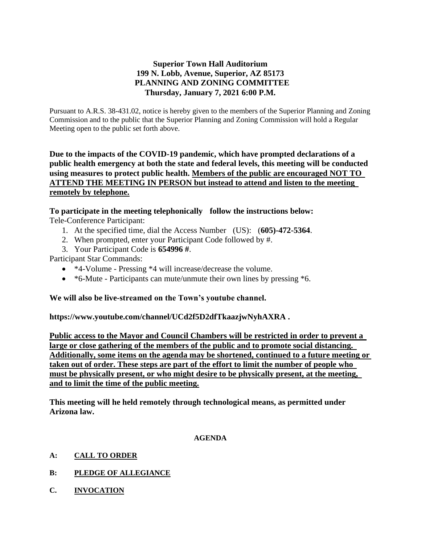# **Superior Town Hall Auditorium 199 N. Lobb, Avenue, Superior, AZ 85173 PLANNING AND ZONING COMMITTEE Thursday, January 7, 2021 6:00 P.M.**

Pursuant to A.R.S. 38-431.02, notice is hereby given to the members of the Superior Planning and Zoning Commission and to the public that the Superior Planning and Zoning Commission will hold a Regular Meeting open to the public set forth above.

**Due to the impacts of the COVID-19 pandemic, which have prompted declarations of a public health emergency at both the state and federal levels, this meeting will be conducted using measures to protect public health. Members of the public are encouraged NOT TO ATTEND THE MEETING IN PERSON but instead to attend and listen to the meeting remotely by telephone.**

# **To participate in the meeting telephonically follow the instructions below:**

Tele-Conference Participant:

- 1. At the specified time, dial the Access Number (US): (**605)-472-5364**.
- 2. When prompted, enter your Participant Code followed by #.
- 3. Your Participant Code is **654996 #**.

Participant Star Commands:

- \*4-Volume Pressing \*4 will increase/decrease the volume.
- \*6-Mute Participants can mute/unmute their own lines by pressing \*6.

# **We will also be live-streamed on the Town's youtube channel.**

**https://www.youtube.com/channel/UCd2f5D2dfTkaazjwNyhAXRA .** 

**Public access to the Mayor and Council Chambers will be restricted in order to prevent a large or close gathering of the members of the public and to promote social distancing. Additionally, some items on the agenda may be shortened, continued to a future meeting or taken out of order. These steps are part of the effort to limit the number of people who must be physically present, or who might desire to be physically present, at the meeting, and to limit the time of the public meeting.**

**This meeting will he held remotely through technological means, as permitted under Arizona law.**

### **AGENDA**

- **A: CALL TO ORDER**
- **B: PLEDGE OF ALLEGIANCE**
- **C. INVOCATION**